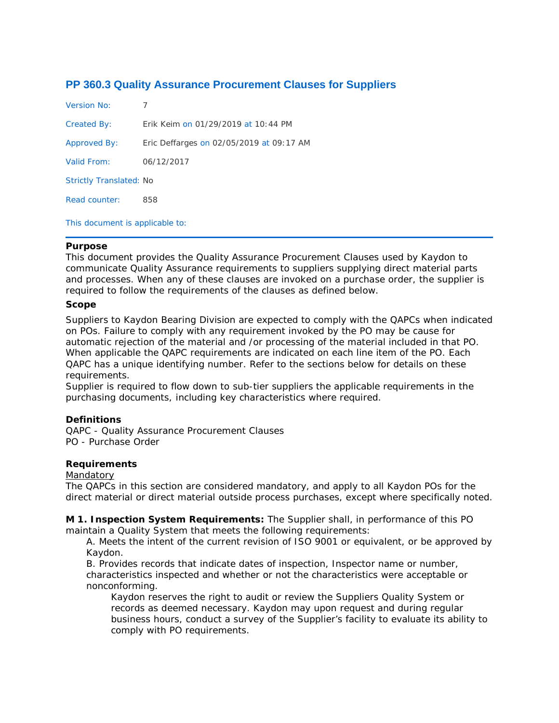# **PP 360.3 Quality Assurance Procurement Clauses for Suppliers**

| Version No:                     |                                          |
|---------------------------------|------------------------------------------|
| Created By:                     | Erik Keim on 01/29/2019 at 10:44 PM      |
| Approved By:                    | Eric Deffarges on 02/05/2019 at 09:17 AM |
| Valid From:                     | 06/12/2017                               |
| <b>Strictly Translated: No</b>  |                                          |
| Read counter:                   | 858                                      |
| This document is applicable to: |                                          |

## **Purpose**

This document provides the Quality Assurance Procurement Clauses used by Kaydon to communicate Quality Assurance requirements to suppliers supplying direct material parts and processes. When any of these clauses are invoked on a purchase order, the supplier is required to follow the requirements of the clauses as defined below.

#### **Scope**

Suppliers to Kaydon Bearing Division are expected to comply with the QAPCs when indicated on POs. Failure to comply with any requirement invoked by the PO may be cause for automatic rejection of the material and /or processing of the material included in that PO. When applicable the QAPC requirements are indicated on each line item of the PO. Each QAPC has a unique identifying number. Refer to the sections below for details on these requirements.

Supplier is required to flow down to sub-tier suppliers the applicable requirements in the purchasing documents, including key characteristics where required.

## **Definitions**

QAPC - Quality Assurance Procurement Clauses PO - Purchase Order

## **Requirements**

#### Mandatory

The QAPCs in this section are considered mandatory, and apply to all Kaydon POs for the direct material or direct material outside process purchases, except where specifically noted.

**M 1. Inspection System Requirements:** The Supplier shall, in performance of this PO maintain a Quality System that meets the following requirements:

A. Meets the intent of the current revision of ISO 9001 or equivalent, or be approved by Kaydon.

B. Provides records that indicate dates of inspection, Inspector name or number, characteristics inspected and whether or not the characteristics were acceptable or nonconforming.

Kaydon reserves the right to audit or review the Suppliers Quality System or records as deemed necessary. Kaydon may upon request and during regular business hours, conduct a survey of the Supplier's facility to evaluate its ability to comply with PO requirements.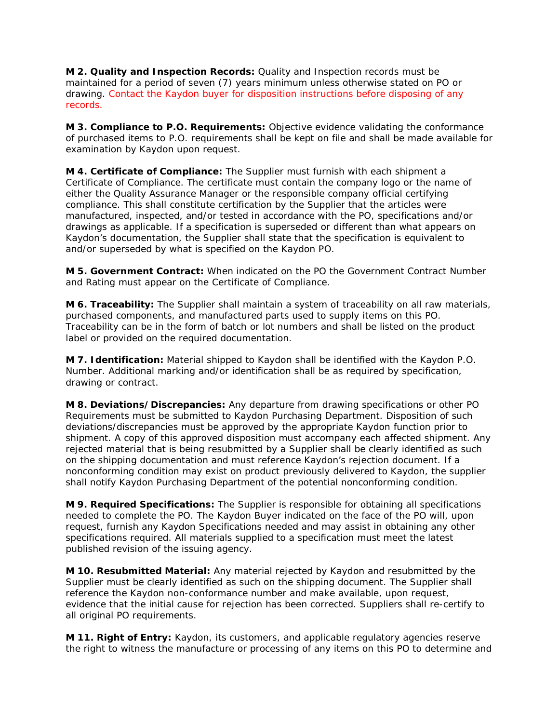**M 2. Quality and Inspection Records:** Quality and Inspection records must be maintained for a period of seven (7) years minimum unless otherwise stated on PO or drawing. Contact the Kaydon buyer for disposition instructions before disposing of any records.

**M 3. Compliance to P.O. Requirements:** Objective evidence validating the conformance of purchased items to P.O. requirements shall be kept on file and shall be made available for examination by Kaydon upon request.

**M 4. Certificate of Compliance:** The Supplier must furnish with each shipment a Certificate of Compliance. The certificate must contain the company logo or the name of either the Quality Assurance Manager or the responsible company official certifying compliance. This shall constitute certification by the Supplier that the articles were manufactured, inspected, and/or tested in accordance with the PO, specifications and/or drawings as applicable. If a specification is superseded or different than what appears on Kaydon's documentation, the Supplier shall state that the specification is equivalent to and/or superseded by what is specified on the Kaydon PO.

**M 5. Government Contract:** When indicated on the PO the Government Contract Number and Rating must appear on the Certificate of Compliance.

**M 6. Traceability:** The Supplier shall maintain a system of traceability on all raw materials, purchased components, and manufactured parts used to supply items on this PO. Traceability can be in the form of batch or lot numbers and shall be listed on the product label or provided on the required documentation.

**M 7. Identification:** Material shipped to Kaydon shall be identified with the Kaydon P.O. Number. Additional marking and/or identification shall be as required by specification, drawing or contract.

**M 8. Deviations/Discrepancies:** Any departure from drawing specifications or other PO Requirements must be submitted to Kaydon Purchasing Department. Disposition of such deviations/discrepancies must be approved by the appropriate Kaydon function prior to shipment. A copy of this approved disposition must accompany each affected shipment. Any rejected material that is being resubmitted by a Supplier shall be clearly identified as such on the shipping documentation and must reference Kaydon's rejection document. If a nonconforming condition may exist on product previously delivered to Kaydon, the supplier shall notify Kaydon Purchasing Department of the potential nonconforming condition.

**M 9. Required Specifications:** The Supplier is responsible for obtaining all specifications needed to complete the PO. The Kaydon Buyer indicated on the face of the PO will, upon request, furnish any Kaydon Specifications needed and may assist in obtaining any other specifications required. All materials supplied to a specification must meet the latest published revision of the issuing agency.

**M 10. Resubmitted Material:** Any material rejected by Kaydon and resubmitted by the Supplier must be clearly identified as such on the shipping document. The Supplier shall reference the Kaydon non-conformance number and make available, upon request, evidence that the initial cause for rejection has been corrected. Suppliers shall re-certify to all original PO requirements.

**M 11. Right of Entry:** Kaydon, its customers, and applicable regulatory agencies reserve the right to witness the manufacture or processing of any items on this PO to determine and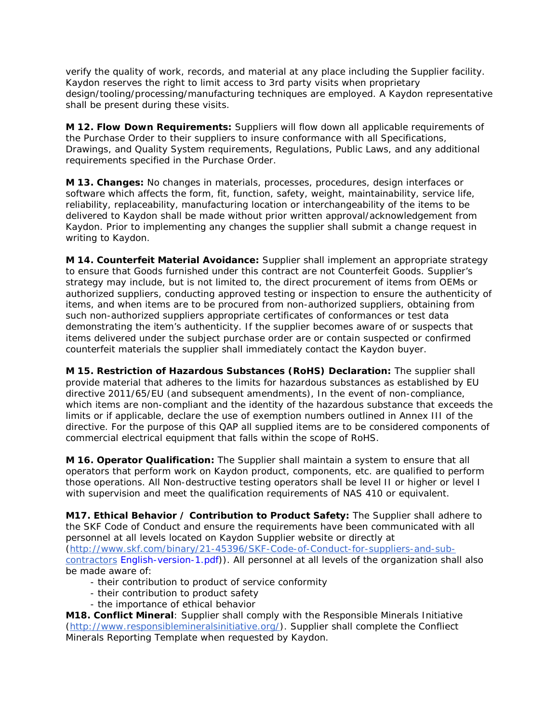verify the quality of work, records, and material at any place including the Supplier facility. Kaydon reserves the right to limit access to 3rd party visits when proprietary design/tooling/processing/manufacturing techniques are employed. A Kaydon representative shall be present during these visits.

**M 12. Flow Down Requirements:** Suppliers will flow down all applicable requirements of the Purchase Order to their suppliers to insure conformance with all Specifications, Drawings, and Quality System requirements, Regulations, Public Laws, and any additional requirements specified in the Purchase Order.

**M 13. Changes:** No changes in materials, processes, procedures, design interfaces or software which affects the form, fit, function, safety, weight, maintainability, service life, reliability, replaceability, manufacturing location or interchangeability of the items to be delivered to Kaydon shall be made without prior written approval/acknowledgement from Kaydon. Prior to implementing any changes the supplier shall submit a change request in writing to Kaydon.

**M 14. Counterfeit Material Avoidance:** Supplier shall implement an appropriate strategy to ensure that Goods furnished under this contract are not Counterfeit Goods. Supplier's strategy may include, but is not limited to, the direct procurement of items from OEMs or authorized suppliers, conducting approved testing or inspection to ensure the authenticity of items, and when items are to be procured from non-authorized suppliers, obtaining from such non-authorized suppliers appropriate certificates of conformances or test data demonstrating the item's authenticity. If the supplier becomes aware of or suspects that items delivered under the subject purchase order are or contain suspected or confirmed counterfeit materials the supplier shall immediately contact the Kaydon buyer.

**M 15. Restriction of Hazardous Substances (RoHS) Declaration:** The supplier shall provide material that adheres to the limits for hazardous substances as established by EU directive 2011/65/EU (and subsequent amendments), In the event of non-compliance, which items are non-compliant and the identity of the hazardous substance that exceeds the limits or if applicable, declare the use of exemption numbers outlined in Annex III of the directive. For the purpose of this QAP all supplied items are to be considered components of commercial electrical equipment that falls within the scope of RoHS.

**M 16. Operator Qualification:** The Supplier shall maintain a system to ensure that all operators that perform work on Kaydon product, components, etc. are qualified to perform those operations. All Non-destructive testing operators shall be level II or higher or level I with supervision and meet the qualification requirements of NAS 410 or equivalent.

**M17. Ethical Behavior / Contribution to Product Safety:** The Supplier shall adhere to the SKF Code of Conduct and ensure the requirements have been communicated with all personnel at all levels located on Kaydon Supplier website or directly at [\(http://www.skf.com/binary/21-45396/SKF-Code-of-Conduct-for-suppliers-and-sub](http://www.skf.com/binary/21-45396/SKF-Code-of-Conduct-for-suppliers-and-sub-contractors)[contractors](http://www.skf.com/binary/21-45396/SKF-Code-of-Conduct-for-suppliers-and-sub-contractors) English-version-1.pdf)). All personnel at all levels of the organization shall also be made aware of:

- their contribution to product of service conformity
- their contribution to product safety
- the importance of ethical behavior

**M18. Conflict Mineral**: Supplier shall comply with the Responsible Minerals Initiative [\(http://www.responsiblemineralsinitiative.org/\)](http://www.responsiblemineralsinitiative.org/). Supplier shall complete the Confliect Minerals Reporting Template when requested by Kaydon.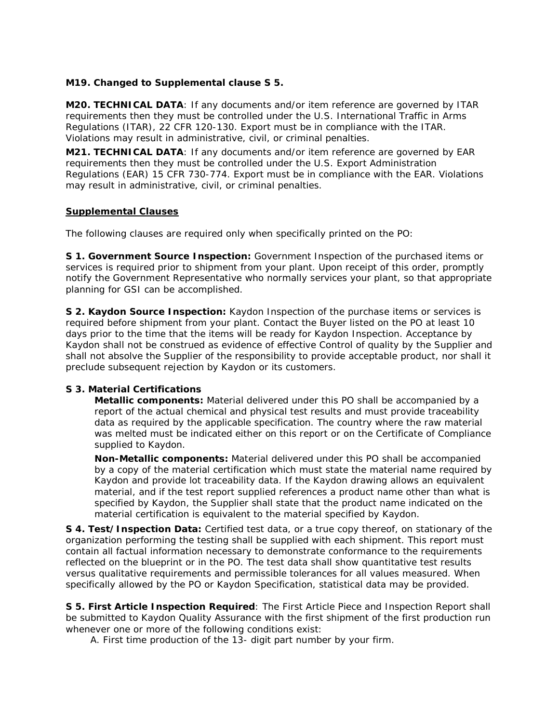**M19. Changed to Supplemental clause S 5.**

**M20. TECHNICAL DATA**: If any documents and/or item reference are governed by ITAR requirements then they must be controlled under the U.S. International Traffic in Arms Regulations (ITAR), 22 CFR 120-130. Export must be in compliance with the ITAR. Violations may result in administrative, civil, or criminal penalties.

**M21. TECHNICAL DATA**: If any documents and/or item reference are governed by EAR requirements then they must be controlled under the U.S. Export Administration Regulations (EAR) 15 CFR 730-774. Export must be in compliance with the EAR. Violations may result in administrative, civil, or criminal penalties.

## **Supplemental Clauses**

The following clauses are required only when specifically printed on the PO:

**S 1. Government Source Inspection:** Government Inspection of the purchased items or services is required prior to shipment from your plant. Upon receipt of this order, promptly notify the Government Representative who normally services your plant, so that appropriate planning for GSI can be accomplished.

**S 2. Kaydon Source Inspection:** Kaydon Inspection of the purchase items or services is required before shipment from your plant. Contact the Buyer listed on the PO at least 10 days prior to the time that the items will be ready for Kaydon Inspection. Acceptance by Kaydon shall not be construed as evidence of effective Control of quality by the Supplier and shall not absolve the Supplier of the responsibility to provide acceptable product, nor shall it preclude subsequent rejection by Kaydon or its customers.

## **S 3. Material Certifications**

**Metallic components:** Material delivered under this PO shall be accompanied by a report of the actual chemical and physical test results and must provide traceability data as required by the applicable specification. The country where the raw material was melted must be indicated either on this report or on the Certificate of Compliance supplied to Kaydon.

**Non-Metallic components:** Material delivered under this PO shall be accompanied by a copy of the material certification which must state the material name required by Kaydon and provide lot traceability data. If the Kaydon drawing allows an equivalent material, and if the test report supplied references a product name other than what is specified by Kaydon, the Supplier shall state that the product name indicated on the material certification is equivalent to the material specified by Kaydon.

**S 4. Test/Inspection Data:** Certified test data, or a true copy thereof, on stationary of the organization performing the testing shall be supplied with each shipment. This report must contain all factual information necessary to demonstrate conformance to the requirements reflected on the blueprint or in the PO. The test data shall show quantitative test results versus qualitative requirements and permissible tolerances for all values measured. When specifically allowed by the PO or Kaydon Specification, statistical data may be provided.

**S 5. First Article Inspection Required**: The First Article Piece and Inspection Report shall be submitted to Kaydon Quality Assurance with the first shipment of the first production run whenever one or more of the following conditions exist:

A. First time production of the 13- digit part number by your firm.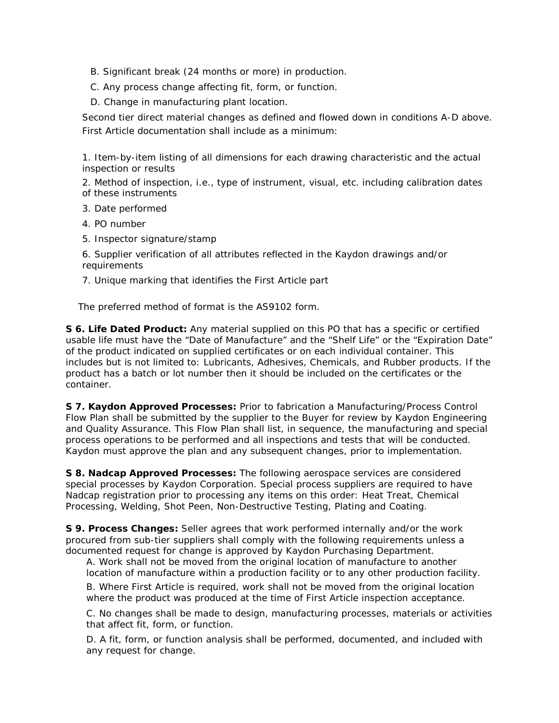- B. Significant break (24 months or more) in production.
- C. Any process change affecting fit, form, or function.
- D. Change in manufacturing plant location.

Second tier direct material changes as defined and flowed down in conditions A-D above. First Article documentation shall include as a minimum:

1. Item-by-item listing of all dimensions for each drawing characteristic and the actual inspection or results

2. Method of inspection, i.e., type of instrument, visual, etc. including calibration dates of these instruments

- 3. Date performed
- 4. PO number
- 5. Inspector signature/stamp

6. Supplier verification of all attributes reflected in the Kaydon drawings and/or requirements

7. Unique marking that identifies the First Article part

The preferred method of format is the AS9102 form.

**S 6. Life Dated Product:** Any material supplied on this PO that has a specific or certified usable life must have the "Date of Manufacture" and the "Shelf Life" or the "Expiration Date" of the product indicated on supplied certificates or on each individual container. This includes but is not limited to: Lubricants, Adhesives, Chemicals, and Rubber products. If the product has a batch or lot number then it should be included on the certificates or the container.

**S 7. Kaydon Approved Processes:** Prior to fabrication a Manufacturing/Process Control Flow Plan shall be submitted by the supplier to the Buyer for review by Kaydon Engineering and Quality Assurance. This Flow Plan shall list, in sequence, the manufacturing and special process operations to be performed and all inspections and tests that will be conducted. Kaydon must approve the plan and any subsequent changes, prior to implementation.

**S 8. Nadcap Approved Processes:** The following aerospace services are considered special processes by Kaydon Corporation. Special process suppliers are required to have Nadcap registration prior to processing any items on this order: Heat Treat, Chemical Processing, Welding, Shot Peen, Non-Destructive Testing, Plating and Coating.

**S 9. Process Changes:** Seller agrees that work performed internally and/or the work procured from sub-tier suppliers shall comply with the following requirements unless a documented request for change is approved by Kaydon Purchasing Department.

A. Work shall not be moved from the original location of manufacture to another location of manufacture within a production facility or to any other production facility.

B. Where First Article is required, work shall not be moved from the original location where the product was produced at the time of First Article inspection acceptance.

C. No changes shall be made to design, manufacturing processes, materials or activities that affect fit, form, or function.

D. A fit, form, or function analysis shall be performed, documented, and included with any request for change.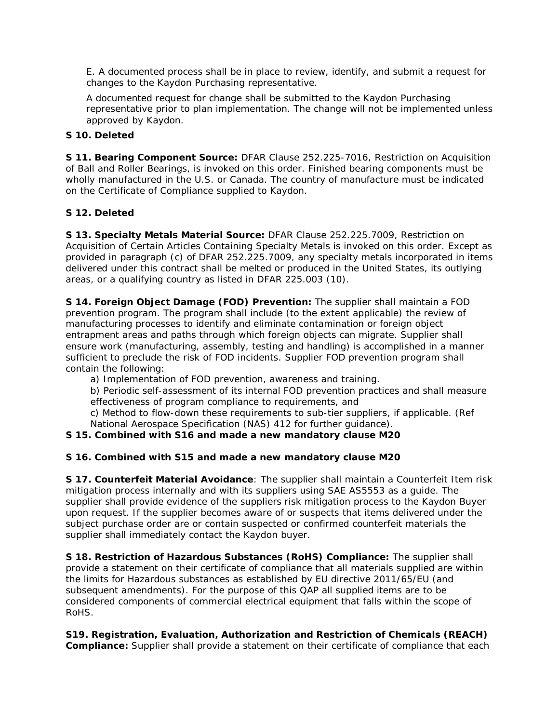E. A documented process shall be in place to review, identify, and submit a request for changes to the Kaydon Purchasing representative.

A documented request for change shall be submitted to the Kaydon Purchasing representative prior to plan implementation. The change will not be implemented unless approved by Kaydon.

**S 10. Deleted**

**S 11. Bearing Component Source:** DFAR Clause 252.225-7016, Restriction on Acquisition of Ball and Roller Bearings, is invoked on this order. Finished bearing components must be wholly manufactured in the U.S. or Canada. The country of manufacture must be indicated on the Certificate of Compliance supplied to Kaydon.

**S 12. Deleted**

**S 13. Specialty Metals Material Source:** DFAR Clause 252.225.7009, Restriction on Acquisition of Certain Articles Containing Specialty Metals is invoked on this order. Except as provided in paragraph (c) of DFAR 252.225.7009, any specialty metals incorporated in items delivered under this contract shall be melted or produced in the United States, its outlying areas, or a qualifying country as listed in DFAR 225.003 (10).

**S 14. Foreign Object Damage (FOD) Prevention:** The supplier shall maintain a FOD prevention program. The program shall include (to the extent applicable) the review of manufacturing processes to identify and eliminate contamination or foreign object entrapment areas and paths through which foreign objects can migrate. Supplier shall ensure work (manufacturing, assembly, testing and handling) is accomplished in a manner sufficient to preclude the risk of FOD incidents. Supplier FOD prevention program shall contain the following:

a) Implementation of FOD prevention, awareness and training.

b) Periodic self-assessment of its internal FOD prevention practices and shall measure effectiveness of program compliance to requirements, and

c) Method to flow-down these requirements to sub-tier suppliers, if applicable. (Ref National Aerospace Specification (NAS) 412 for further guidance).

**S 15. Combined with S16 and made a new mandatory clause M20**

**S 16. Combined with S15 and made a new mandatory clause M20**

**S 17. Counterfeit Material Avoidance**: The supplier shall maintain a Counterfeit Item risk mitigation process internally and with its suppliers using SAE AS5553 as a guide. The supplier shall provide evidence of the suppliers risk mitigation process to the Kaydon Buyer upon request. If the supplier becomes aware of or suspects that items delivered under the subject purchase order are or contain suspected or confirmed counterfeit materials the supplier shall immediately contact the Kaydon buyer.

**S 18. Restriction of Hazardous Substances (RoHS) Compliance:** The supplier shall provide a statement on their certificate of compliance that all materials supplied are within the limits for Hazardous substances as established by EU directive 2011/65/EU (and subsequent amendments). For the purpose of this QAP all supplied items are to be considered components of commercial electrical equipment that falls within the scope of RoHS.

**S19. Registration, Evaluation, Authorization and Restriction of Chemicals (REACH) Compliance:** Supplier shall provide a statement on their certificate of compliance that each